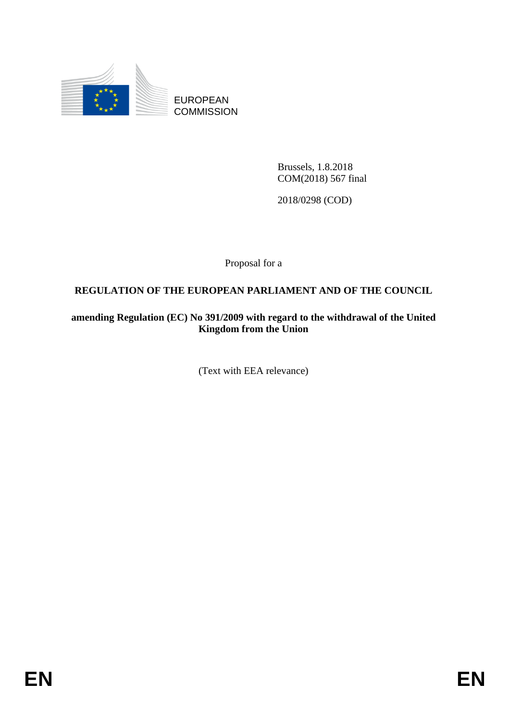

EUROPEAN **COMMISSION** 

> Brussels, 1.8.2018 COM(2018) 567 final

2018/0298 (COD)

Proposal for a

# **REGULATION OF THE EUROPEAN PARLIAMENT AND OF THE COUNCIL**

**amending Regulation (EC) No 391/2009 with regard to the withdrawal of the United Kingdom from the Union**

(Text with EEA relevance)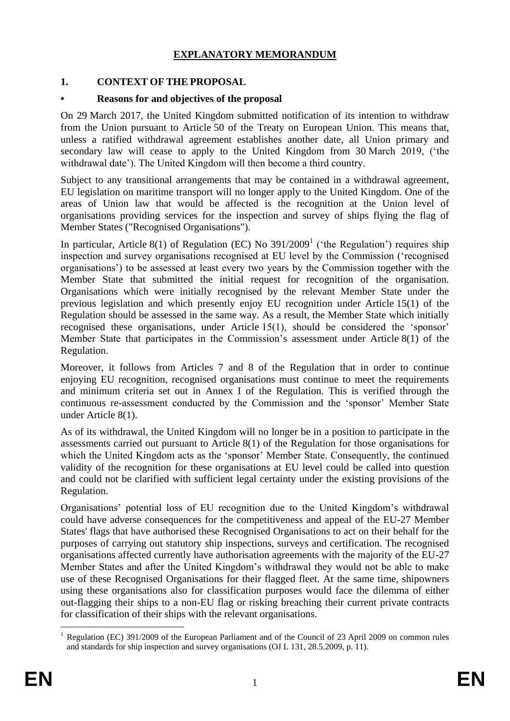## **EXPLANATORY MEMORANDUM**

# **1. CONTEXT OF THE PROPOSAL**

## **• Reasons for and objectives of the proposal**

On 29 March 2017, the United Kingdom submitted notification of its intention to withdraw from the Union pursuant to Article 50 of the Treaty on European Union. This means that, unless a ratified withdrawal agreement establishes another date, all Union primary and secondary law will cease to apply to the United Kingdom from 30 March 2019, ('the withdrawal date'). The United Kingdom will then become a third country.

Subject to any transitional arrangements that may be contained in a withdrawal agreement, EU legislation on maritime transport will no longer apply to the United Kingdom. One of the areas of Union law that would be affected is the recognition at the Union level of organisations providing services for the inspection and survey of ships flying the flag of Member States ("Recognised Organisations").

In particular, Article 8(1) of Regulation (EC) No  $391/2009<sup>1</sup>$  ('the Regulation') requires ship inspection and survey organisations recognised at EU level by the Commission ('recognised organisations') to be assessed at least every two years by the Commission together with the Member State that submitted the initial request for recognition of the organisation. Organisations which were initially recognised by the relevant Member State under the previous legislation and which presently enjoy EU recognition under Article 15(1) of the Regulation should be assessed in the same way. As a result, the Member State which initially recognised these organisations, under Article 15(1), should be considered the 'sponsor' Member State that participates in the Commission's assessment under Article 8(1) of the Regulation.

Moreover, it follows from Articles 7 and 8 of the Regulation that in order to continue enjoying EU recognition, recognised organisations must continue to meet the requirements and minimum criteria set out in Annex I of the Regulation. This is verified through the continuous re-assessment conducted by the Commission and the 'sponsor' Member State under Article 8(1).

As of its withdrawal, the United Kingdom will no longer be in a position to participate in the assessments carried out pursuant to Article 8(1) of the Regulation for those organisations for which the United Kingdom acts as the 'sponsor' Member State. Consequently, the continued validity of the recognition for these organisations at EU level could be called into question and could not be clarified with sufficient legal certainty under the existing provisions of the Regulation.

Organisations' potential loss of EU recognition due to the United Kingdom's withdrawal could have adverse consequences for the competitiveness and appeal of the EU-27 Member States' flags that have authorised these Recognised Organisations to act on their behalf for the purposes of carrying out statutory ship inspections, surveys and certification. The recognised organisations affected currently have authorisation agreements with the majority of the EU-27 Member States and after the United Kingdom's withdrawal they would not be able to make use of these Recognised Organisations for their flagged fleet. At the same time, shipowners using these organisations also for classification purposes would face the dilemma of either out-flagging their ships to a non-EU flag or risking breaching their current private contracts for classification of their ships with the relevant organisations.

<sup>1</sup> <sup>1</sup> Regulation (EC) 391/2009 of the European Parliament and of the Council of 23 April 2009 on common rules and standards for ship inspection and survey organisations (OJ L 131, 28.5.2009, p. 11).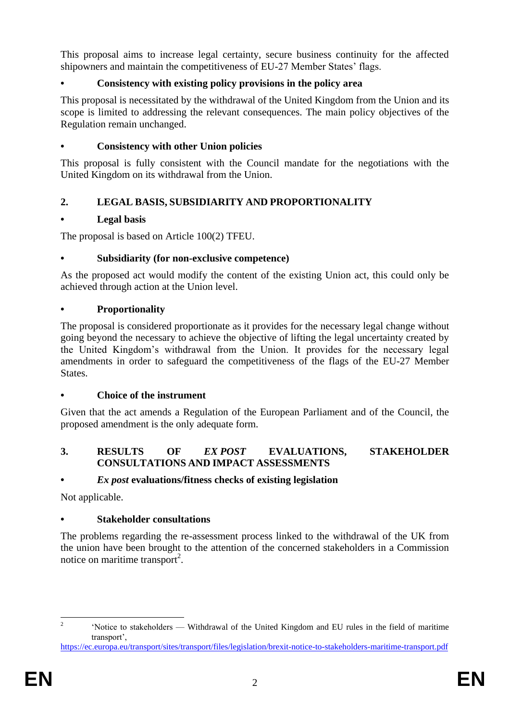This proposal aims to increase legal certainty, secure business continuity for the affected shipowners and maintain the competitiveness of EU-27 Member States' flags.

# **• Consistency with existing policy provisions in the policy area**

This proposal is necessitated by the withdrawal of the United Kingdom from the Union and its scope is limited to addressing the relevant consequences. The main policy objectives of the Regulation remain unchanged.

#### **• Consistency with other Union policies**

This proposal is fully consistent with the Council mandate for the negotiations with the United Kingdom on its withdrawal from the Union.

# **2. LEGAL BASIS, SUBSIDIARITY AND PROPORTIONALITY**

#### **• Legal basis**

The proposal is based on Article 100(2) TFEU.

#### **• Subsidiarity (for non-exclusive competence)**

As the proposed act would modify the content of the existing Union act, this could only be achieved through action at the Union level.

#### **• Proportionality**

The proposal is considered proportionate as it provides for the necessary legal change without going beyond the necessary to achieve the objective of lifting the legal uncertainty created by the United Kingdom's withdrawal from the Union. It provides for the necessary legal amendments in order to safeguard the competitiveness of the flags of the EU-27 Member States.

## **• Choice of the instrument**

Given that the act amends a Regulation of the European Parliament and of the Council, the proposed amendment is the only adequate form.

#### **3. RESULTS OF** *EX POST* **EVALUATIONS, STAKEHOLDER CONSULTATIONS AND IMPACT ASSESSMENTS**

## **•** *Ex post* **evaluations/fitness checks of existing legislation**

Not applicable.

## **• Stakeholder consultations**

The problems regarding the re-assessment process linked to the withdrawal of the UK from the union have been brought to the attention of the concerned stakeholders in a Commission notice on maritime transport<sup>2</sup>.

 $\frac{1}{2}$ 'Notice to stakeholders — Withdrawal of the United Kingdom and EU rules in the field of maritime transport',

<https://ec.europa.eu/transport/sites/transport/files/legislation/brexit-notice-to-stakeholders-maritime-transport.pdf>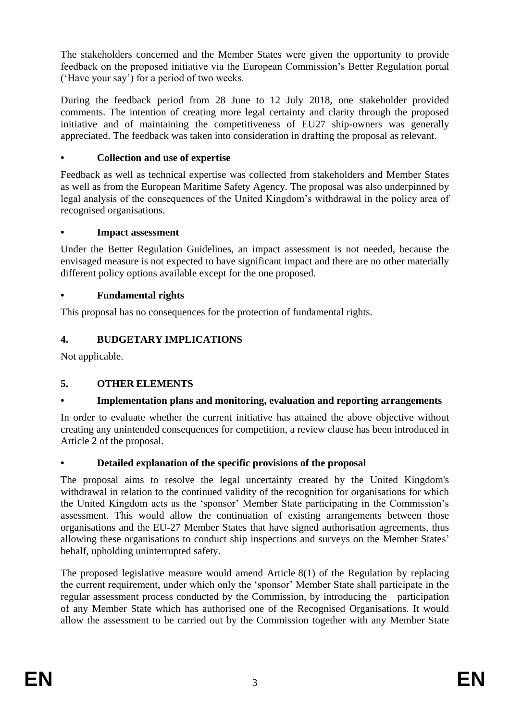The stakeholders concerned and the Member States were given the opportunity to provide feedback on the proposed initiative via the European Commission's Better Regulation portal ('Have your say') for a period of two weeks.

During the feedback period from 28 June to 12 July 2018, one stakeholder provided comments. The intention of creating more legal certainty and clarity through the proposed initiative and of maintaining the competitiveness of EU27 ship-owners was generally appreciated. The feedback was taken into consideration in drafting the proposal as relevant.

# **• Collection and use of expertise**

Feedback as well as technical expertise was collected from stakeholders and Member States as well as from the European Maritime Safety Agency. The proposal was also underpinned by legal analysis of the consequences of the United Kingdom's withdrawal in the policy area of recognised organisations.

#### **• Impact assessment**

Under the Better Regulation Guidelines, an impact assessment is not needed, because the envisaged measure is not expected to have significant impact and there are no other materially different policy options available except for the one proposed.

## **• Fundamental rights**

This proposal has no consequences for the protection of fundamental rights.

# **4. BUDGETARY IMPLICATIONS**

Not applicable.

## **5. OTHER ELEMENTS**

## **• Implementation plans and monitoring, evaluation and reporting arrangements**

In order to evaluate whether the current initiative has attained the above objective without creating any unintended consequences for competition, a review clause has been introduced in Article 2 of the proposal.

## **• Detailed explanation of the specific provisions of the proposal**

The proposal aims to resolve the legal uncertainty created by the United Kingdom's withdrawal in relation to the continued validity of the recognition for organisations for which the United Kingdom acts as the 'sponsor' Member State participating in the Commission's assessment. This would allow the continuation of existing arrangements between those organisations and the EU-27 Member States that have signed authorisation agreements, thus allowing these organisations to conduct ship inspections and surveys on the Member States' behalf, upholding uninterrupted safety.

The proposed legislative measure would amend Article 8(1) of the Regulation by replacing the current requirement, under which only the 'sponsor' Member State shall participate in the regular assessment process conducted by the Commission, by introducing the participation of any Member State which has authorised one of the Recognised Organisations. It would allow the assessment to be carried out by the Commission together with any Member State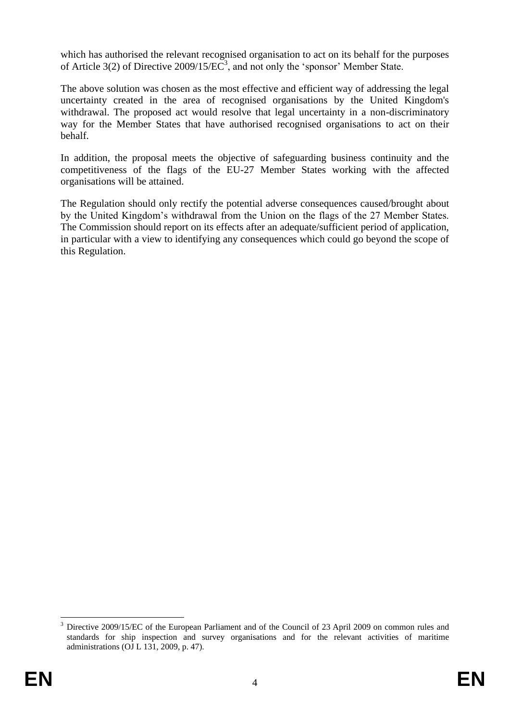which has authorised the relevant recognised organisation to act on its behalf for the purposes of Article 3(2) of Directive 2009/15/ $\overrightarrow{EC}^3$ , and not only the 'sponsor' Member State.

The above solution was chosen as the most effective and efficient way of addressing the legal uncertainty created in the area of recognised organisations by the United Kingdom's withdrawal. The proposed act would resolve that legal uncertainty in a non-discriminatory way for the Member States that have authorised recognised organisations to act on their behalf.

In addition, the proposal meets the objective of safeguarding business continuity and the competitiveness of the flags of the EU-27 Member States working with the affected organisations will be attained.

The Regulation should only rectify the potential adverse consequences caused/brought about by the United Kingdom's withdrawal from the Union on the flags of the 27 Member States. The Commission should report on its effects after an adequate/sufficient period of application, in particular with a view to identifying any consequences which could go beyond the scope of this Regulation.

1

<sup>3</sup> Directive 2009/15/EC of the European Parliament and of the Council of 23 April 2009 on common rules and standards for ship inspection and survey organisations and for the relevant activities of maritime administrations (OJ L 131, 2009, p. 47).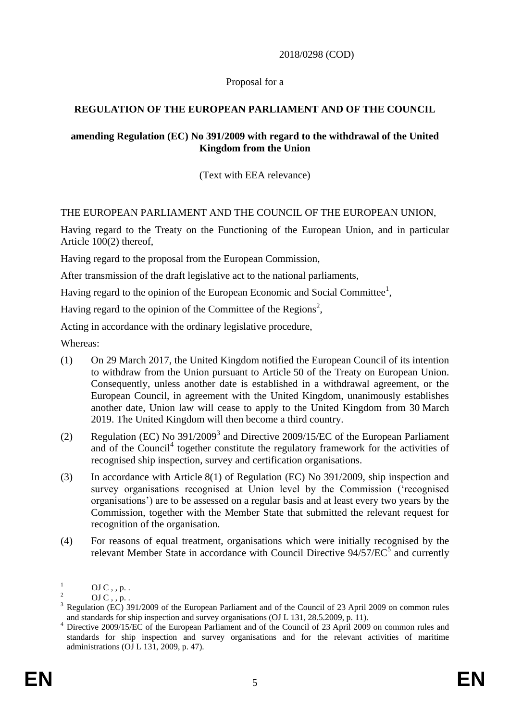2018/0298 (COD)

#### Proposal for a

# **REGULATION OF THE EUROPEAN PARLIAMENT AND OF THE COUNCIL**

#### **amending Regulation (EC) No 391/2009 with regard to the withdrawal of the United Kingdom from the Union**

(Text with EEA relevance)

#### THE EUROPEAN PARLIAMENT AND THE COUNCIL OF THE EUROPEAN UNION,

Having regard to the Treaty on the Functioning of the European Union, and in particular Article 100(2) thereof,

Having regard to the proposal from the European Commission,

After transmission of the draft legislative act to the national parliaments,

Having regard to the opinion of the European Economic and Social Committee<sup>1</sup>,

Having regard to the opinion of the Committee of the Regions<sup>2</sup>,

Acting in accordance with the ordinary legislative procedure,

Whereas:

- (1) On 29 March 2017, the United Kingdom notified the European Council of its intention to withdraw from the Union pursuant to Article 50 of the Treaty on European Union. Consequently, unless another date is established in a withdrawal agreement, or the European Council, in agreement with the United Kingdom, unanimously establishes another date, Union law will cease to apply to the United Kingdom from 30 March 2019. The United Kingdom will then become a third country.
- (2) Regulation (EC) No  $391/2009^3$  and Directive 2009/15/EC of the European Parliament and of the Council<sup>4</sup> together constitute the regulatory framework for the activities of recognised ship inspection, survey and certification organisations.
- (3) In accordance with Article 8(1) of Regulation (EC) No 391/2009, ship inspection and survey organisations recognised at Union level by the Commission ('recognised organisations') are to be assessed on a regular basis and at least every two years by the Commission, together with the Member State that submitted the relevant request for recognition of the organisation.
- (4) For reasons of equal treatment, organisations which were initially recognised by the relevant Member State in accordance with Council Directive  $94/57/EC^5$  and currently

 $\mathbf{1}$  $\frac{1}{2}$  OJ C, , p. .

 $^{2}$  OJ C, , p. .

<sup>3</sup> Regulation (EC) 391/2009 of the European Parliament and of the Council of 23 April 2009 on common rules and standards for ship inspection and survey organisations (OJ L 131, 28.5.2009, p. 11).

<sup>&</sup>lt;sup>4</sup> Directive 2009/15/EC of the European Parliament and of the Council of 23 April 2009 on common rules and standards for ship inspection and survey organisations and for the relevant activities of maritime administrations (OJ L 131, 2009, p. 47).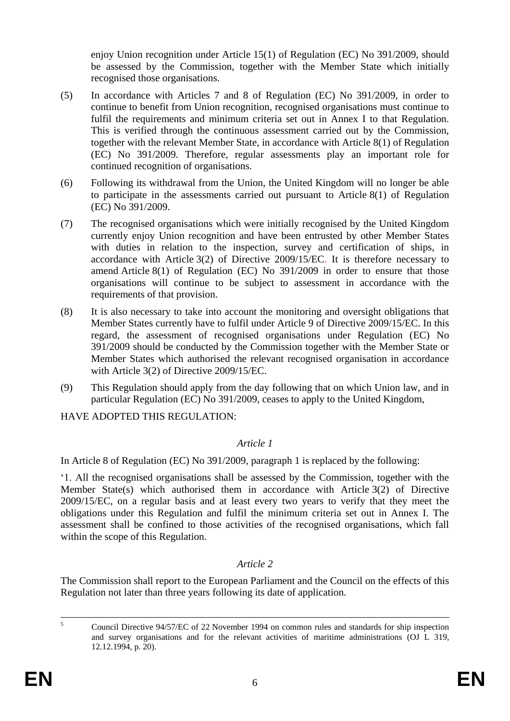enjoy Union recognition under Article 15(1) of Regulation (EC) No 391/2009, should be assessed by the Commission, together with the Member State which initially recognised those organisations.

- (5) In accordance with Articles 7 and 8 of Regulation (EC) No 391/2009, in order to continue to benefit from Union recognition, recognised organisations must continue to fulfil the requirements and minimum criteria set out in Annex I to that Regulation. This is verified through the continuous assessment carried out by the Commission, together with the relevant Member State, in accordance with Article 8(1) of Regulation (EC) No 391/2009. Therefore, regular assessments play an important role for continued recognition of organisations.
- (6) Following its withdrawal from the Union, the United Kingdom will no longer be able to participate in the assessments carried out pursuant to Article 8(1) of Regulation (EC) No 391/2009.
- (7) The recognised organisations which were initially recognised by the United Kingdom currently enjoy Union recognition and have been entrusted by other Member States with duties in relation to the inspection, survey and certification of ships, in accordance with Article 3(2) of Directive 2009/15/EC. It is therefore necessary to amend Article 8(1) of Regulation (EC) No 391/2009 in order to ensure that those organisations will continue to be subject to assessment in accordance with the requirements of that provision.
- (8) It is also necessary to take into account the monitoring and oversight obligations that Member States currently have to fulfil under Article 9 of Directive 2009/15/EC. In this regard, the assessment of recognised organisations under Regulation (EC) No 391/2009 should be conducted by the Commission together with the Member State or Member States which authorised the relevant recognised organisation in accordance with Article 3(2) of Directive 2009/15/EC.
- (9) This Regulation should apply from the day following that on which Union law, and in particular Regulation (EC) No 391/2009, ceases to apply to the United Kingdom,

HAVE ADOPTED THIS REGULATION:

## *Article 1*

In Article 8 of Regulation (EC) No 391/2009, paragraph 1 is replaced by the following:

'1. All the recognised organisations shall be assessed by the Commission, together with the Member State(s) which authorised them in accordance with Article 3(2) of Directive 2009/15/EC, on a regular basis and at least every two years to verify that they meet the obligations under this Regulation and fulfil the minimum criteria set out in Annex I. The assessment shall be confined to those activities of the recognised organisations, which fall within the scope of this Regulation.

## *Article 2*

The Commission shall report to the European Parliament and the Council on the effects of this Regulation not later than three years following its date of application.

 $\overline{\phantom{a}}$ 

<sup>5</sup> Council Directive 94/57/EC of 22 November 1994 on common rules and standards for ship inspection and survey organisations and for the relevant activities of maritime administrations (OJ L 319, 12.12.1994, p. 20).